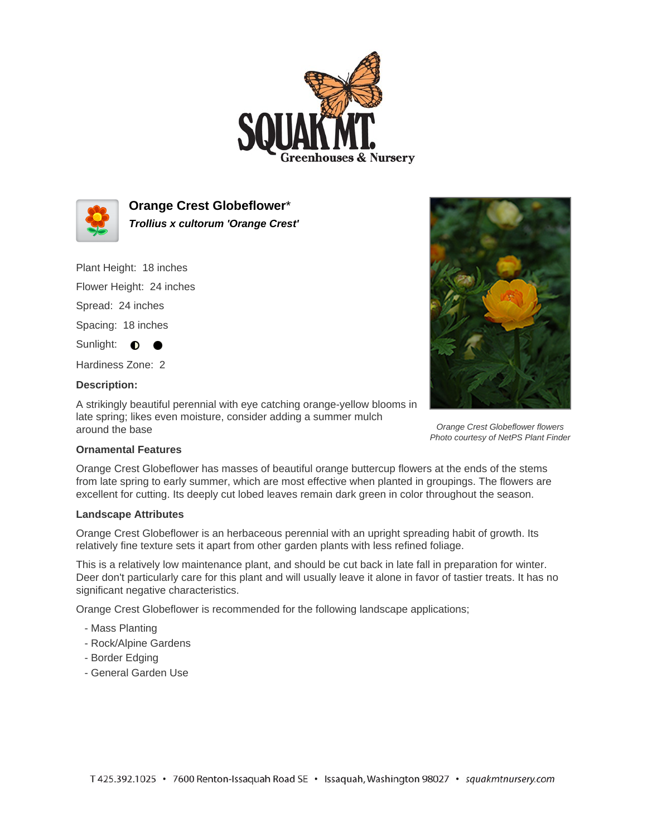



**Orange Crest Globeflower**\* **Trollius x cultorum 'Orange Crest'**

Plant Height: 18 inches

Flower Height: 24 inches

Spread: 24 inches

Spacing: 18 inches

Sunlight: **0** 

Hardiness Zone: 2

## **Description:**

A strikingly beautiful perennial with eye catching orange-yellow blooms in late spring; likes even moisture, consider adding a summer mulch around the base



Orange Crest Globeflower flowers Photo courtesy of NetPS Plant Finder

## **Ornamental Features**

Orange Crest Globeflower has masses of beautiful orange buttercup flowers at the ends of the stems from late spring to early summer, which are most effective when planted in groupings. The flowers are excellent for cutting. Its deeply cut lobed leaves remain dark green in color throughout the season.

## **Landscape Attributes**

Orange Crest Globeflower is an herbaceous perennial with an upright spreading habit of growth. Its relatively fine texture sets it apart from other garden plants with less refined foliage.

This is a relatively low maintenance plant, and should be cut back in late fall in preparation for winter. Deer don't particularly care for this plant and will usually leave it alone in favor of tastier treats. It has no significant negative characteristics.

Orange Crest Globeflower is recommended for the following landscape applications;

- Mass Planting
- Rock/Alpine Gardens
- Border Edging
- General Garden Use